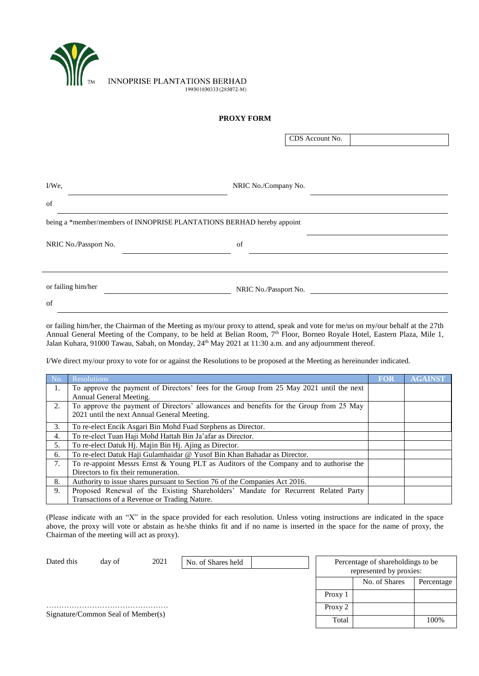

**INNOPRISE PLANTATIONS BERHAD** 199301030333 (285072-M)

## **PROXY FORM**

CDS Account No.

| $I/We$ .                                                               | NRIC No./Company No.  |  |
|------------------------------------------------------------------------|-----------------------|--|
| of                                                                     |                       |  |
| being a *member/members of INNOPRISE PLANTATIONS BERHAD hereby appoint |                       |  |
| NRIC No./Passport No.                                                  | of                    |  |
|                                                                        |                       |  |
| or failing him/her                                                     | NRIC No./Passport No. |  |
| of                                                                     |                       |  |

or failing him/her, the Chairman of the Meeting as my/our proxy to attend, speak and vote for me/us on my/our behalf at the 27th Annual General Meeting of the Company, to be held at Belian Room, 7<sup>th</sup> Floor, Borneo Royale Hotel, Eastern Plaza, Mile 1, Jalan Kuhara, 91000 Tawau, Sabah, on Monday, 24<sup>th</sup> May 2021 at 11:30 a.m. and any adjournment thereof.

I/We direct my/our proxy to vote for or against the Resolutions to be proposed at the Meeting as hereinunder indicated.

|    | <b>Resolutions</b>                                                                      | <b>FOR</b> | <b>AGAINST</b> |
|----|-----------------------------------------------------------------------------------------|------------|----------------|
| 1. | To approve the payment of Directors' fees for the Group from 25 May 2021 until the next |            |                |
|    | Annual General Meeting.                                                                 |            |                |
| 2. | To approve the payment of Directors' allowances and benefits for the Group from 25 May  |            |                |
|    | 2021 until the next Annual General Meeting.                                             |            |                |
| 3. | To re-elect Encik Asgari Bin Mohd Fuad Stephens as Director.                            |            |                |
| 4. | To re-elect Tuan Haji Mohd Hattah Bin Ja'afar as Director.                              |            |                |
| 5. | To re-elect Datuk Hj. Majin Bin Hj. Ajing as Director.                                  |            |                |
| 6. | To re-elect Datuk Haji Gulamhaidar @ Yusof Bin Khan Bahadar as Director.                |            |                |
| 7. | To re-appoint Messrs Ernst & Young PLT as Auditors of the Company and to authorise the  |            |                |
|    | Directors to fix their remuneration.                                                    |            |                |
| 8. | Authority to issue shares pursuant to Section 76 of the Companies Act 2016.             |            |                |
| 9. | Proposed Renewal of the Existing Shareholders' Mandate for Recurrent Related Party      |            |                |
|    | Transactions of a Revenue or Trading Nature.                                            |            |                |

(Please indicate with an "X" in the space provided for each resolution. Unless voting instructions are indicated in the space above, the proxy will vote or abstain as he/she thinks fit and if no name is inserted in the space for the name of proxy, the Chairman of the meeting will act as proxy).

| Dated this                         | day of | 2021 | No. of Shares held |  | Percentage of shareholdings to be<br>represented by proxies: |               |            |
|------------------------------------|--------|------|--------------------|--|--------------------------------------------------------------|---------------|------------|
|                                    |        |      |                    |  |                                                              | No. of Shares | Percentage |
|                                    |        |      |                    |  | Proxy 1                                                      |               |            |
| Signature/Common Seal of Member(s) |        |      |                    |  | Proxy 2                                                      |               |            |
|                                    |        |      |                    |  | Total                                                        |               | 100%       |